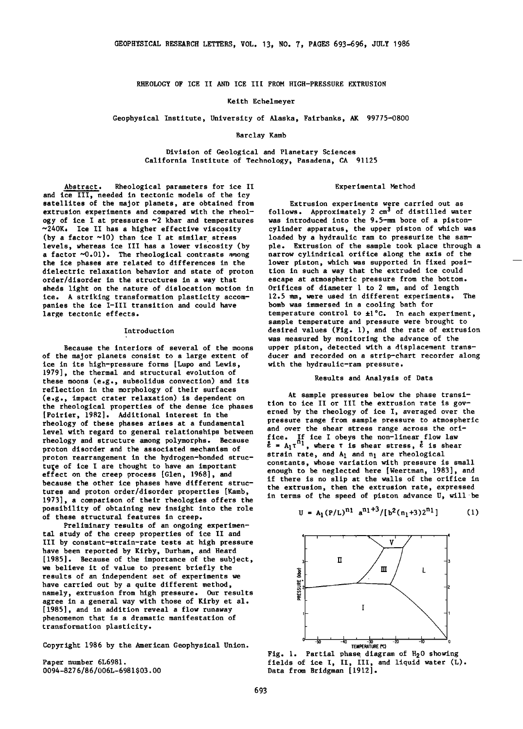**RHEOLOGY OF ICE II AND ICE IIl FROM HIGH-PRESSURE EXTRUSION** 

**Keith Echelmeyer** 

**Geophysical Institute, University of Alaska, Fairbanks, AK 99775-0800** 

## **Barclay Kamb**

**Division of Geological and Planetary Sciences' California Institute of Technology, Pasadena, CA 91125** 

Abstract. Rheological parameters for ice II **Experimental Method and ice III, needed in tectonic models of the icy**  satellites of the major planets, are obtained from **Extrusion experiments were carried out as** extrict of a set<br>extrusion experiments and compared with the rheol- follows. Approximately 2 cm<sup>3</sup> of distilled water **extrusion experiments and compared with the rheol-** follows. Approximately 2 cm<sup>3</sup> of distilled water  $\log y$  of ice I at pressures  $\sim$ 2 kbar and temperatures was introduced into the 9.5-mm bore of a piston**ogy of ice I at pressures ~2 kbar and temperatures ~240K.** Ice II has a higher effective viscosity **~240K, .Ice II has a higher effective viscosity cylinder apparatus, the upper piston of whicb was .**  (by a factor ~10) than ice I at similar stress loaded by a hydraulic ram to pressurize the sam-<br>levels, whereas ice III has a lower viscosity (by ple. Extrusion of the sample took place through **a factor ~0.01). The rheological contrasts a•ong narrow cylindrical orifice along the axis of the**  the ice phases are related to differences in the lower piston, which was supported in fixed position of the extruded ice could dielectric relaxation behavior and state of proton order/disorder in the structures in a way that sheds light on the nature of dislocation motion in Orifices of diameter 1 to 2 mm, and of length<br>ice. A striking transformation plasticity accom- 12.5 mm, were used in different experiments. The **ice. A striking transformation plasticity accom- 12.5 mm, were used in different experiments. The panies the ice I-III transition and could have bomb was immersed in a cooling bath for** 

of the major planets consist to a large extent of ducer and recorded on a strip-ch<br>ice in its high-pressure forms [Lupo and Lewis, with the hydraulic-ram pressure. ice in its high-pressure forms [Lupo and Lewis, **1979], the thermal and structural evolution of these moons (e.g., subsolidus convection) and its Results and Analysis of Data reflection in the morphology of their surfaces**  existence in the morphology of their surfaces<br>
(e.g., impact crater relaxation) is dependent on the extra tion to ice II or III the extrusion rate is gov-<br>
the rheological properties of the dependent on **the rheological properties of the dense ice phases tion to ice II or III the extrusion rate is gov**  rheology of these phases arises at a fundamental pressure range from sample pressure to atmosphe<br>lavel with resard to general relationships between and over the shear stress range across the orilevel with regard to general relationships between rheology and structure among polymorphs. Because **field a** structure among polymorphs. Because itce. If ice I obeys the non-linear flow law  $\epsilon = A_1 \tau^0$ , where  $\tau$  is shear proton disorder and the associated mechanism of  $\epsilon = A_1 \tau^0$ , where  $\tau$  is shear and a proposal proton disorder and the associated mechanism of<br>proton rearrangement in the hydrogen-bonded struc-<br>ture of ice I are thought to have an important<br>proton rearration with pressure is small ture of ice I are thought to have an important **effect on the creep process [Glen, 1968], and because the other ice phases have different structures and proton order/disorder properties [Kamb, 1973], a comparison of their rheologies offers the possibility of obtaining new insight into the role of these structural features in creep.** 

**Preliminary results of an ongoing experimental study of the creep properties of ice II and III by constant-strain-rate tests at high pressure have been reported by Kirby, Durham, and Heard [1985]. Because of the importance of the subject, we believe it of value to present briefly the results of an independent set of experiments we have carried out by a quite different method, namely, extrusion from high pressure. Our results agree in a general way with those of Kirby et al. [1985], and in addition reveal a flow runaway phenomenon that is a dramatic manifestation of transformation plasticity.** 

**Copyright 1986 by the American Geophysical Union.** 

**Paper number 6L6981. 0094-827 6 / 86 / 006L-6981 \$ 03. O0** 

ple. Extrusion of the sample took place through a narrow cylindrical orifice along the axis of the escape at atmospheric pressure from the bottom.<br>Orifices of diameter 1 to 2 mm, and of length **large tectonic effects.**  $\qquad \qquad \text{temperature control to  $\pm 1\degree C$ . In each experiment,$ **sample temperature and pressure were brought to Introduction desired values (Fig. 1), and the rate of extrusion was measured by monitoring the advance of the**<br>Because the interiors of several of the moons upper piston, detected with a displacement tra upper piston, detected with a displacement trans-<br>ducer and recorded on a strip-chart recorder along

**[Poirier, 1982]. Additional interest in the erned by the rheology of ice I, averaged over the enough to be neglected here [Weertman, 1983], and if there is no slip at the walls of the orifice in the extrusion, then the extrusion rate, expressed**  in terms of the speed of piston advance U, will be

$$
U = A_1 (P/L)^{n_1} a^{n_1+3} / [b^2 (n_1+3) 2^{n_1}]
$$
 (1)



Fig. 1. Partial phase diagram of H<sub>2</sub>O showing **fields of ice I, II, III, and liquid water (L). Data from Bridgman [1912].**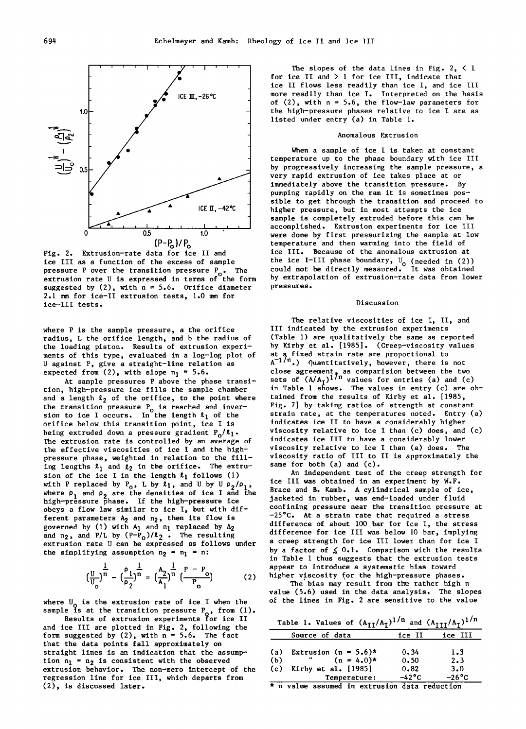

**Fig. 2. Extrusion-rate data for ice II and ice III as a function of the excess of sample suggested by (2), with n = 5.6. Orifice diameter pressures. 2.1 mm for ice-II extrusion tests, 1.0 mm for ice-Ill tests. Discussion** 

**where P is the sample pressure, a the orifice**  radius, L the orifice length, and b the radius of **the loading piston. Results of extrusion experiments of this type, evaluated in a log-log plot of U against P, give a straight-line relation as**  expected from  $(2)$ , with slope  $n_1$   $\approx$  5.6.

**At sample pressures P above the phase transition, high-pressure ice fills the sample chamber**  and a length  $\ell_2$  of the orifice, to the point where tained from the results of Kirby et al. [1985, the transition pressure P<sub>a</sub> is reached and inver-<br>
Fig. 7] by taking ratios of strength at constant the transition pressure P<sub>o</sub> is reached and inver-<br> **sion to ice I occurs.** In the length  $\ell_1$  of the **strange is the temperatures noted.** Entry (a) **orifice below this transition point, ice I is**  being extruded down a pressure gradient  $P_0/l_1$ . **The extrusion rate is controlled by an average of the effective viscosities of ice I and the highpressure phase, weighted in relation to the fill**ing lengths  $\ell_1$  and  $\ell_2$  in the orifice. The extrusion of the ice I in the length  $\ell_1$  follows (1) with P replaced by  $P_0$ , L by  $\ell_1$ , and U by U  $\rho_2/\rho_1$ where  $\rho_1$  and  $\rho_2$  are the densities of ice I and the **high-pressure phase.** If the high-pressure ice **obeys a flow law similar to ice I, but with dif**ferent parameters A<sub>2</sub> and n<sub>2</sub>, then its flow is governed by (1) with A<sub>1</sub> and n<sub>1</sub> replaced by A<sub>2</sub> and  $n_2$ , and  $P/L$  by  $(P-P_0)/\ell_2$ . The resulting difference for ice III was below 10 bar, implying  $P/L$  by  $(P-P_0)/\ell_2$ . The resulting a creep strength for ice III lower than for ice I extrusion rate U can be expressed as follows under a creep strength for ice III lower than for ice I<br>the simplifying assumption no = n<sub>1</sub> = n; by a factor of  $\lesssim 0.1$ . Comparison with the results the simplifying assumption  $n_2 = n_1 = n$ :

$$
\left(\frac{U}{U}\right)^{\frac{1}{n}} - \left(\frac{\rho_1}{\rho_2}\right)^{\frac{1}{n}} = \left(\frac{A_2}{A_1}\right)^{\frac{1}{n}} \left(\frac{P - P_0}{P_0}\right)
$$
\n
$$
\text{where } \rho_1 \text{ is the positive constant, and } \rho_2 \text{ is the positive constant.}
$$
\n
$$
\text{The best is the maximum constant, and the result from the random interval, and the probability that the probability that is the positive constant.}
$$

where U<sub>Q</sub> is the extrusion rate of ice I when the **sample is at the transition pressure**  $P_o$ , from (1).

**Results of extrusion experiments for ice II and ice III are plotted in Fig. 2, following the form suggested by (2), with n = 5.6. The fact that the data points fall approximately on straight lines is an indication that the assump**tion  $n_1 = n_2$  is consistent with the observed extrusion behavior. The non-zero intercept of the regression line for ice III, which departs from<br>(2), is discussed later.

**The slopes of the data lines in Fig. 2, < 1 for ice II and > 1 for ice III, indicate that ice II flows less readily than ice I, and ice III more readily than ice I. Interpreted on the basis of (2), with n = 5.6, the flow-law parameters for the high-pressure phases relative to ice I are as listed under entry (a) in Table 1.** 

### **Anomalous Extrusion**

**When a sample of ice I is taken at constant temperature up to the phase boundary with ice III**  by progressively increasing the sample pressure, a **very rapid extrusion of ice takes place at or immediately above the transition pressure. By pumping rapidly on the ram it is sometimes pos**sible to get through the transition and proceed to **higher pressure, but in most attempts the ice sample is completely extruded before this can be accomplished. Extrusion experiments for ice III were done by first pressurizing the sample at low temperature and the, warming into the field of ice III. Because of the anomalous extrusion at**  the ice I-III phase boundary,  $U_0$  (needed in (2)) could not be directly measured. It was obtained pressure P over the transition pressure P<sub>o</sub>. The could not be directly measured. It was obtained<br>extrusion rate U is expressed in terms of the form by extrapolation of extrusion-rate data from lower

**The relative viscosities of ice I, II, and III indicated by the extrusion experiments (Table 1) are qualitatively the same as reported by Kirby et al. [1985]. (Creep-viscosity values at A\_l•nfixed ß ) Quantitatively, strain rate are however, proportional there to is not**  close agreement, as comparision between the two<br>sets of (A/A<sub>I</sub>)<sup>1/n</sup> values for entries (a) and (c)<br>in Table 1 shows. The values in entry (c) are ob**strain rate, at the temperatures noted. Entry (a) indicates ice II to have a considerably higher viscosity relative to ice I than (c) does, and (c) indicates ice III to have a considerably lower viscosity relative to ice I than (a) does. The viscosity ratio of III to II is approximately the same for both (a) and (c).** 

**An independent test of the creep strength for ice III was obtained in an experiment by W.F.**  Brace and B. Kamb. A cylindrical sample of ice, **jacketed in rubber, was end-loaded under fluid confining pressure near the transition pressure at -25øC. At a strain rate that required a stress difference of about 100 bar for ice I, the stress in Table 1 thus suggests that the extrusion tests** 

The bias may result from the rather high n **value (5.6) used in the data analysis. The slopes of the lines in Fig. 2 are sensitive to the value** 

Table 1. Values of  $(A_{II}/A_I)^{1/n}$  and  $(A_{III}/A_I)^{1/n}$ 

|     | Source of data                                | ice II   | гтт<br>ice |
|-----|-----------------------------------------------|----------|------------|
|     |                                               |          |            |
| (a) | Extrusion (n = $5.6$ )*                       | 0.34     | 1.3        |
| (b) | $(n = 4.0)*$                                  | 0.50     | 2.3        |
| (c) | Kirby et al. [1985]                           | 0.82     | 3.0        |
|     | Temperature:                                  | $-42$ °C | $-26$ °C   |
|     | * n value assumed in extrusion data reduction |          |            |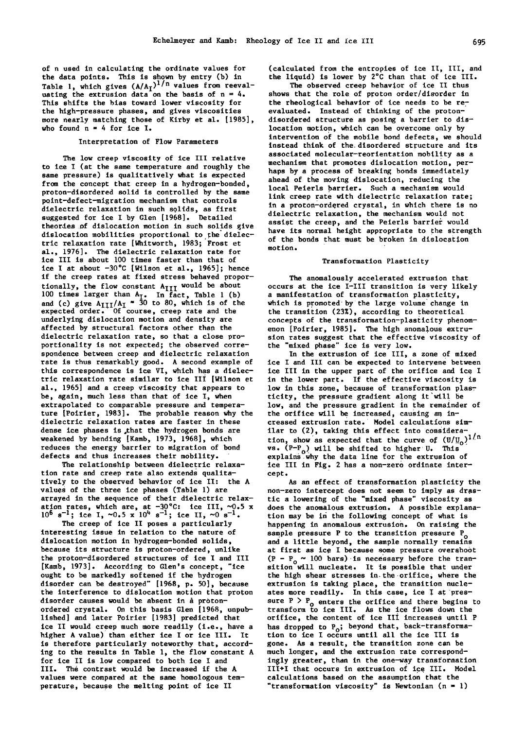**of n used in calculating the ordinate values for (calculated from the entropies of ice II, III, and**  Table 1, which gives  $(A/A<sub>I</sub>)<sup>1/n</sup>$  values from reeval-<br>uating the extrusion data on the basis of n = 4. shows that the role of proton order/disorder in This shifts the bias toward lower viscosity for the rheological behavior of ice needs to be re-<br>the high-pressure phases, and gives viscosities evaluated. Instead of thinking of the protonthe high-pressure phases, and gives viscosities<br>more nearly matching those of Kirby et al. [1985], who found  $n = 4$  for ice I.

# **Interpretation of Flow Parameters**

**The low creep viscosity of ice III relative to ice I (at the same temperature and roughly the same pressure) is qualitatively what is expected from the concept that creep in a hydrogen-bonded, proton-disordered solid is controlled by the same point-defect-migration mechanism that controls dielectric relaxation in such solids, as first suggested for ice I by Glen [1968]. Detailed theor.ies of dislocation motion in such solids give .**  dislocation mobilities proportional to the dielec**tric relaxation rate [Whitworth, 1983; Frost et al., 1976]. The dielectric relaxation rate for ice III is about 100 times faster than that of ice I at about -30øC [Wilson et al., 1965]; hence if the creep rates at fixed stress behaved propor**tionally, the flow constant A<sub>III</sub> would be about **100 times larger than A<sub>I</sub>. In fact, Table 1 (b)** and (c) give A<sub>III</sub>/A<sub>I</sub> \* 30 to 80, which is of the expected order. Of course, creep rate and the **underlying dislocation motion and density are affected by structural factors other than the dielectric relaxation rate, so that a close proportionality is not expected; the observed correspondence between creep and dielectric relaxation**  rate is thus remarkably good. A second example of this correspondence is ice VI, which has a dielec**tric relaxation rate similar to ice III [Wilson et in the lower part. If the effective viscosity is al.,** 1965] and a creep viscosity that appears to low in this zone, because of transformation plas-<br>be, again, much less than that of ice I, when ticity, the pressure gradient along it will be **be, again, much less than that of ice I, when ticity, the pressure gradient along it will be extrapolated to comparable pressure and tempera-** low, and the pressure gradient in the remainden **dielectric relaxation rates are faster in these**  dense ice phases is that the hydrogen bonds are **weakened by bending [Kamb, 1973, 1968], which reduces the energy barrier to migration of bond defects and thus increases their mobility.** 

**•The relationship between dielectric relaxation rate and creep rate also extends qualitatively to the observed behavior of ice II: the A values of the three ice phases (Table 1) are ation rates, which are, at**  $-30^{\circ}$ **C:** ice III,  $-0.5 \times 10^6 \text{ s}^{-1}$ ; ice I,  $-0.5 \times 10^4 \text{ s}^{-1}$ ; ice II,  $-0 \text{ s}^{-1}$ .

**The creep of ice II poses a particularly interesting issue in relation to the nature of dislocation motion in hydrogen-bonded solids, because its structure is proton-ordered, unlike the proton-disordered structures of ice I and III [Kamb, 1973]. According to Glen's concept, "ice ought to be markedly softened if the hydrogen disorder can be destroyed" [1968, p. 50], because**  the interference to dislocation motion that proton ates more readily. In this case, ice I at pres-<br>disorder causes would be absent in a proton-<br>sure  $P > P_2$  enters the orifice and there begins ordered crystal. On this basis Glen [1968, unpub-<br>lished] and later Poirier [1983] predicted that lished] and later Poirier [1983] predicted that orifice, the content of ice III increases until P **ice** II would creep much more readily (i.e., have a bas dropped to P<sub>.</sub>; beyond that, back-transformaice II would creep much more readily (i.e., have a has dropped to P<sub>o</sub>; beyond that, back-transforma-<br>higher A value) than either ice I or ice III. It tion to ice I occurs until all the ice III is is therefore particularly noteworthy that, accord-<br>ing to the results in Table 1, the flow constant A much longer, and the extrusion rate corresponding to the results in Table 1, the flow constant A for ice II is low compared to both ice I and **for ice II is low compared to both ice I and ingly greater, than in the one-way transformation**<br>III. The contrast would be increased if the A 1II+I that occurs in extrusion of ice III. Model **values were compared at the same homologous tem-**<br>perature, because the melting point of ice II

the liquid) is lower by 2°C than that of ice III.<br>The observed creep behavior of ice II thus

disordered structure as posing a barrier to dis**location motion, which can be overcome only by intervention of the mobile bond defects, we should instead. think of the. disordered structure and its associated molecular-reorientation mobility as a mechanism that promotes dislocation motion, perhaps by a process of breaking bonds immediately ahead of the moving dislocation, reducing the local Peierls barrier. Such a mechanism would , link creep rate with dielectric relaxation rate; in a proton-ordered crystal, in which there is no dielectric relaxation, the mechanism would not**  assist the creep, and the Peierls barrier would **have its normal height appropriate to the strength of the bonds that must be broken in dislocation motion.** 

## **Transformation Plasticity**

**The anomalously accelerated extrusion that occurs at the ice I-III transition is very likely a manifestation of transformation plasticity,**  which is promoted by the large volume change in **the transition (23%), according to theoretical concepts of the transformation-plasticity phenomenon [Poirier, 1985]. The high anomalous extrusion rates suggest that the effective viscosity of the "mixed phase" ice is very low.** 

**In the extrusion of ice III, a zone of mixed**  this correspondence is ice VI, which has a dielec- ice III in the upper part of the orifice and ice I<br>tric relaxation rate similar to ice III [Wilson et in the lower part. If the effective viscosity is extrapolated to comparable pressure and tempera-<br>
ture [Poirier, 1983]. The probable reason why the the orifice will be increased, causing an inthe orifice will be increased, causing an in**creased extrusion rate. Model calculations similar to (2), taking this effect into considera**tion, show as expected that the curve of  $(U/U_0)^{1/n}$ **vs. (P-Po) will be shifted to higher U. This explains Why the data line for the extrusion of ice III in Fig. 2 has a non-zero ordinate intercept.** 

**As an effect of transformation plasticity the non-zero intercept does not seem to imply as dras**tic a lowering of the "mixed phase" viscosity as<br>does the anomalous extrusion. A possible explanation may be in the following concept of what is **happening in anomalous extrusion, On raising the**  sample pressure P to the transition pressure P<sub>o</sub> **and a little beyond, the sample normally remains at first as ice I because some pressure overshoot**  (P - P<sub>o</sub> ~ 100 bars) is necessary before the tran-<br>sition will nucleate. It is possible that under the high shear stresses in the orifice, where the extrusion is taking place, the transition nuclesure  $P > P_0$  enters the orifice and there begins to transform to ice III. As the ice flows down the tion to ice I occurs until all the ice III is gone. As a result, the transition zone can be III<sup>+</sup>I that occurs in extrusion of ice III. Model calculations based on the assumption that the **ficular remation viscosity" is Newtonian (n = 1)**